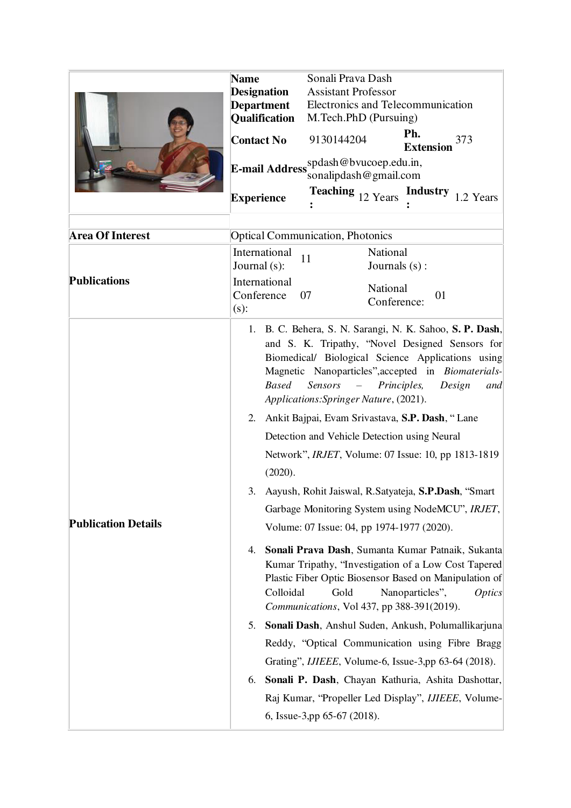|                            | Sonali Prava Dash<br><b>Name</b>                                                                                                                                                                                                                                                                                                                                                                                                                                                                                                                                                                                                                                                                                                                                                                                                                                                                                                                                                                                                                                                                                                                                                                                                                                                                               |
|----------------------------|----------------------------------------------------------------------------------------------------------------------------------------------------------------------------------------------------------------------------------------------------------------------------------------------------------------------------------------------------------------------------------------------------------------------------------------------------------------------------------------------------------------------------------------------------------------------------------------------------------------------------------------------------------------------------------------------------------------------------------------------------------------------------------------------------------------------------------------------------------------------------------------------------------------------------------------------------------------------------------------------------------------------------------------------------------------------------------------------------------------------------------------------------------------------------------------------------------------------------------------------------------------------------------------------------------------|
|                            | <b>Assistant Professor</b><br><b>Designation</b>                                                                                                                                                                                                                                                                                                                                                                                                                                                                                                                                                                                                                                                                                                                                                                                                                                                                                                                                                                                                                                                                                                                                                                                                                                                               |
|                            | Electronics and Telecommunication<br><b>Department</b>                                                                                                                                                                                                                                                                                                                                                                                                                                                                                                                                                                                                                                                                                                                                                                                                                                                                                                                                                                                                                                                                                                                                                                                                                                                         |
|                            | M.Tech.PhD (Pursuing)<br><b>Qualification</b>                                                                                                                                                                                                                                                                                                                                                                                                                                                                                                                                                                                                                                                                                                                                                                                                                                                                                                                                                                                                                                                                                                                                                                                                                                                                  |
|                            | Ph.<br><b>Contact No</b><br>9130144204<br>373<br><b>Extension</b>                                                                                                                                                                                                                                                                                                                                                                                                                                                                                                                                                                                                                                                                                                                                                                                                                                                                                                                                                                                                                                                                                                                                                                                                                                              |
|                            | E-mail Address spdash@bvucoep.edu.in,<br>sonalipdash@gmail.com                                                                                                                                                                                                                                                                                                                                                                                                                                                                                                                                                                                                                                                                                                                                                                                                                                                                                                                                                                                                                                                                                                                                                                                                                                                 |
|                            | <b>Teaching</b> $_{12}$ Years<br><b>Industry</b><br>1.2 Years<br><b>Experience</b>                                                                                                                                                                                                                                                                                                                                                                                                                                                                                                                                                                                                                                                                                                                                                                                                                                                                                                                                                                                                                                                                                                                                                                                                                             |
| Area Of Interest           | <b>Optical Communication, Photonics</b>                                                                                                                                                                                                                                                                                                                                                                                                                                                                                                                                                                                                                                                                                                                                                                                                                                                                                                                                                                                                                                                                                                                                                                                                                                                                        |
|                            | International<br>National<br>11                                                                                                                                                                                                                                                                                                                                                                                                                                                                                                                                                                                                                                                                                                                                                                                                                                                                                                                                                                                                                                                                                                                                                                                                                                                                                |
|                            | Journal (s):<br>Journals $(s)$ :                                                                                                                                                                                                                                                                                                                                                                                                                                                                                                                                                                                                                                                                                                                                                                                                                                                                                                                                                                                                                                                                                                                                                                                                                                                                               |
| <b>Publications</b>        | International                                                                                                                                                                                                                                                                                                                                                                                                                                                                                                                                                                                                                                                                                                                                                                                                                                                                                                                                                                                                                                                                                                                                                                                                                                                                                                  |
|                            | National<br>Conference<br>01<br>07<br>Conference:<br>$(s)$ :                                                                                                                                                                                                                                                                                                                                                                                                                                                                                                                                                                                                                                                                                                                                                                                                                                                                                                                                                                                                                                                                                                                                                                                                                                                   |
| <b>Publication Details</b> | 1. B. C. Behera, S. N. Sarangi, N. K. Sahoo, S. P. Dash,<br>and S. K. Tripathy, "Novel Designed Sensors for<br>Biomedical/ Biological Science Applications using<br>Magnetic Nanoparticles", accepted in Biomaterials-<br><b>Based</b><br>Sensors<br>Principles,<br>Design<br>$\sim$<br>and<br>Applications: Springer Nature, (2021).<br>2.<br>Ankit Bajpai, Evam Srivastava, S.P. Dash, "Lane<br>Detection and Vehicle Detection using Neural<br>Network", <i>IRJET</i> , Volume: 07 Issue: 10, pp 1813-1819<br>(2020).<br>Aayush, Rohit Jaiswal, R.Satyateja, S.P.Dash, "Smart<br>3.<br>Garbage Monitoring System using NodeMCU", IRJET,<br>Volume: 07 Issue: 04, pp 1974-1977 (2020).<br>Sonali Prava Dash, Sumanta Kumar Patnaik, Sukanta<br>4.<br>Kumar Tripathy, "Investigation of a Low Cost Tapered<br>Plastic Fiber Optic Biosensor Based on Manipulation of<br>Colloidal<br>Gold<br>Nanoparticles",<br><i>Optics</i><br>Communications, Vol 437, pp 388-391(2019).<br>Sonali Dash, Anshul Suden, Ankush, Polumallikarjuna<br>5.<br>Reddy, "Optical Communication using Fibre Bragg<br>Grating", <i>IJIEEE</i> , Volume-6, Issue-3,pp 63-64 (2018).<br>Sonali P. Dash, Chayan Kathuria, Ashita Dashottar,<br>6.<br>Raj Kumar, "Propeller Led Display", IJIEEE, Volume-<br>6, Issue-3,pp 65-67 (2018). |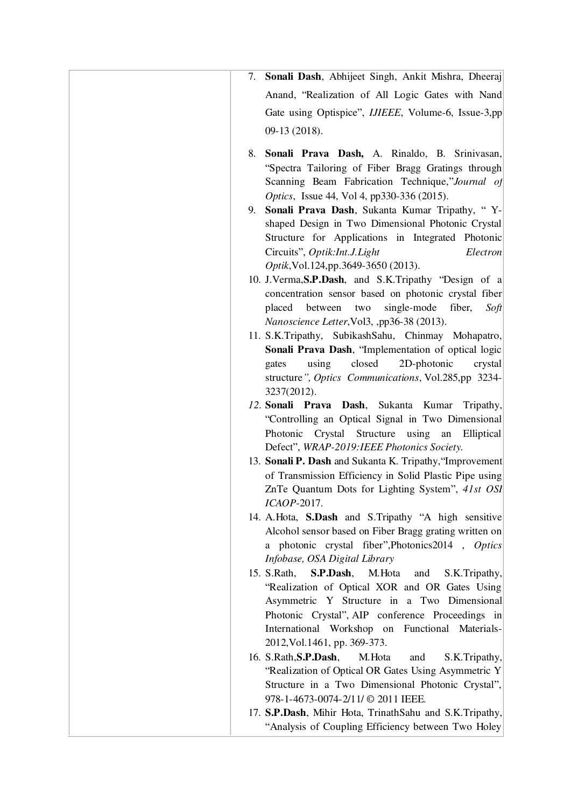| 7. Sonali Dash, Abhijeet Singh, Ankit Mishra, Dheeraj                                                                                                                                                                                                                                                             |
|-------------------------------------------------------------------------------------------------------------------------------------------------------------------------------------------------------------------------------------------------------------------------------------------------------------------|
| Anand, "Realization of All Logic Gates with Nand                                                                                                                                                                                                                                                                  |
| Gate using Optispice", <i>IJIEEE</i> , Volume-6, Issue-3,pp                                                                                                                                                                                                                                                       |
| 09-13 (2018).                                                                                                                                                                                                                                                                                                     |
|                                                                                                                                                                                                                                                                                                                   |
| 8. Sonali Prava Dash, A. Rinaldo, B. Srinivasan,<br>"Spectra Tailoring of Fiber Bragg Gratings through<br>Scanning Beam Fabrication Technique,"Journal of<br>Optics, Issue 44, Vol 4, pp330-336 (2015).<br>9. Sonali Prava Dash, Sukanta Kumar Tripathy, "Y-<br>shaped Design in Two Dimensional Photonic Crystal |
| Structure for Applications in Integrated Photonic<br>Circuits", Optik:Int.J.Light<br>Electron                                                                                                                                                                                                                     |
| Optik, Vol. 124, pp. 3649-3650 (2013).                                                                                                                                                                                                                                                                            |
| 10. J.Verma, S.P.Dash, and S.K.Tripathy "Design of a<br>concentration sensor based on photonic crystal fiber<br>single-mode<br>fiber,<br>placed<br>between<br>two<br>Soft<br>Nanoscience Letter, Vol3, ,pp36-38 (2013).                                                                                           |
| 11. S.K.Tripathy, SubikashSahu, Chinmay Mohapatro,                                                                                                                                                                                                                                                                |
| Sonali Prava Dash, "Implementation of optical logic                                                                                                                                                                                                                                                               |
| closed<br>2D-photonic<br>using<br>crystal<br>gates<br>structure", Optics Communications, Vol.285,pp 3234-<br>3237(2012).                                                                                                                                                                                          |
| 12. Sonali Prava Dash, Sukanta Kumar Tripathy,<br>"Controlling an Optical Signal in Two Dimensional<br>Photonic Crystal<br>Structure<br>using an<br>Elliptical<br>Defect", WRAP-2019:IEEE Photonics Society.                                                                                                      |
| 13. Sonali P. Dash and Sukanta K. Tripathy, "Improvement<br>of Transmission Efficiency in Solid Plastic Pipe using<br>ZnTe Quantum Dots for Lighting System", 41st OSI<br>ICAOP-2017.                                                                                                                             |
| 14. A.Hota, S.Dash and S.Tripathy "A high sensitive<br>Alcohol sensor based on Fiber Bragg grating written on<br>a photonic crystal fiber", Photonics 2014, Optics<br>Infobase, OSA Digital Library                                                                                                               |
| S.P.Dash,<br>M.Hota<br>15. S.Rath,<br>S.K.Tripathy,<br>and<br>"Realization of Optical XOR and OR Gates Using<br>Asymmetric Y Structure in a Two Dimensional<br>Photonic Crystal", AIP conference Proceedings in<br>International Workshop on Functional Materials-<br>2012, Vol. 1461, pp. 369-373.               |
| 16. S.Rath, S.P.Dash,<br>M. Hota<br>S.K.Tripathy,<br>and<br>"Realization of Optical OR Gates Using Asymmetric Y<br>Structure in a Two Dimensional Photonic Crystal",                                                                                                                                              |
|                                                                                                                                                                                                                                                                                                                   |
| 978-1-4673-0074-2/11/ © 2011 IEEE.<br>17. S.P.Dash, Mihir Hota, TrinathSahu and S.K.Tripathy,                                                                                                                                                                                                                     |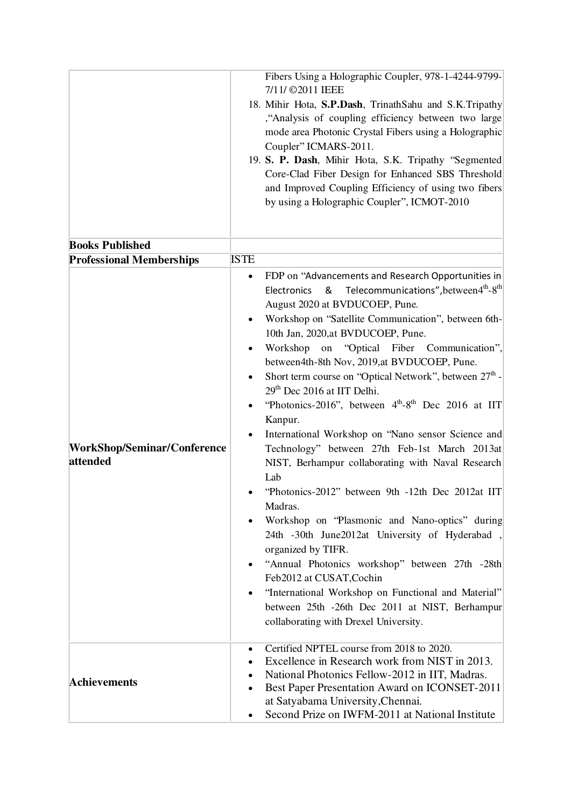|                                         | Fibers Using a Holographic Coupler, 978-1-4244-9799-<br>7/11/ ©2011 IEEE<br>18. Mihir Hota, S.P.Dash, TrinathSahu and S.K.Tripathy<br>"Analysis of coupling efficiency between two large"<br>mode area Photonic Crystal Fibers using a Holographic<br>Coupler" ICMARS-2011.<br>19. S. P. Dash, Mihir Hota, S.K. Tripathy "Segmented<br>Core-Clad Fiber Design for Enhanced SBS Threshold<br>and Improved Coupling Efficiency of using two fibers<br>by using a Holographic Coupler", ICMOT-2010                                                                                                                                                                                                                                                                                                                                                                                                                                                                                                                                                                                                                                                                                                                                  |
|-----------------------------------------|----------------------------------------------------------------------------------------------------------------------------------------------------------------------------------------------------------------------------------------------------------------------------------------------------------------------------------------------------------------------------------------------------------------------------------------------------------------------------------------------------------------------------------------------------------------------------------------------------------------------------------------------------------------------------------------------------------------------------------------------------------------------------------------------------------------------------------------------------------------------------------------------------------------------------------------------------------------------------------------------------------------------------------------------------------------------------------------------------------------------------------------------------------------------------------------------------------------------------------|
| <b>Books Published</b>                  |                                                                                                                                                                                                                                                                                                                                                                                                                                                                                                                                                                                                                                                                                                                                                                                                                                                                                                                                                                                                                                                                                                                                                                                                                                  |
| <b>Professional Memberships</b>         | <b>ISTE</b>                                                                                                                                                                                                                                                                                                                                                                                                                                                                                                                                                                                                                                                                                                                                                                                                                                                                                                                                                                                                                                                                                                                                                                                                                      |
| WorkShop/Seminar/Conference<br>attended | FDP on "Advancements and Research Opportunities in<br>$\bullet$<br>Electronics & Telecommunications", between $4^{\text{th}}-8^{\text{th}}$<br>August 2020 at BVDUCOEP, Pune.<br>Workshop on "Satellite Communication", between 6th-<br>10th Jan, 2020, at BVDUCOEP, Pune.<br>Workshop on "Optical Fiber Communication",<br>between4th-8th Nov, 2019,at BVDUCOEP, Pune.<br>Short term course on "Optical Network", between 27 <sup>th</sup> -<br>29 <sup>th</sup> Dec 2016 at IIT Delhi.<br>"Photonics-2016", between 4 <sup>th</sup> -8 <sup>th</sup> Dec 2016 at IIT<br>Kanpur.<br>International Workshop on "Nano sensor Science and<br>Technology" between 27th Feb-1st March 2013at<br>NIST, Berhampur collaborating with Naval Research<br>Lab<br>"Photonics-2012" between 9th -12th Dec 2012at IIT<br>Madras.<br>Workshop on "Plasmonic and Nano-optics" during<br>24th -30th June2012at University of Hyderabad,<br>organized by TIFR.<br>"Annual Photonics workshop" between 27th -28th<br>Feb2012 at CUSAT, Cochin<br>"International Workshop on Functional and Material"<br>between 25th -26th Dec 2011 at NIST, Berhampur<br>collaborating with Drexel University.<br>Certified NPTEL course from 2018 to 2020.<br>٠ |
| <b>Achievements</b>                     | Excellence in Research work from NIST in 2013.<br>National Photonics Fellow-2012 in IIT, Madras.<br>Best Paper Presentation Award on ICONSET-2011<br>at Satyabama University, Chennai.<br>Second Prize on IWFM-2011 at National Institute<br>$\bullet$                                                                                                                                                                                                                                                                                                                                                                                                                                                                                                                                                                                                                                                                                                                                                                                                                                                                                                                                                                           |